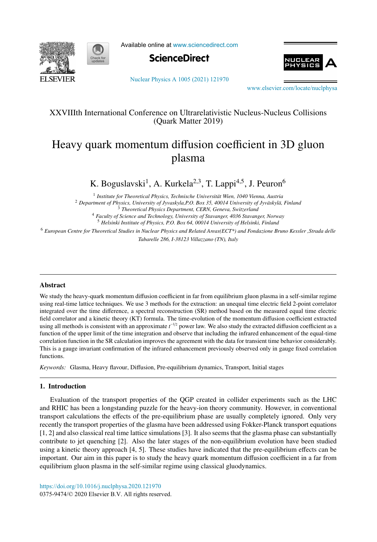



Available online at [www.sciencedirect.com](http://www.sciencedirect.com)





[Nuclear Physics A 1005 \(2021\) 121970](https://doi.org/10.1016/j.nuclphysa.2020.121970)

[www.elsevier.com/locate/nuclphysa](http://www.elsevier.com/locate/nuclphysa)

## XXVIIIth International Conference on Ultrarelativistic Nucleus-Nucleus Collisions (Quark Matter 2019)

# Heavy quark momentum diffusion coefficient in 3D gluon plasma

K. Boguslavski<sup>1</sup>, A. Kurkela<sup>2,3</sup>, T. Lappi<sup>4,5</sup>, J. Peuron<sup>6</sup>

<sup>1</sup> Institute for Theoretical Physics, Technische Universität Wien, 1040 Vienna, Austria <sup>2</sup> Department of Physics, University of Jyvaskyla, P.O. Box 35, 40014 University of Jyväskylä, Finland

<sup>3</sup> *Theoretical Physics Department, CERN, Geneva, Switzerland*

<sup>4</sup> *Faculty of Science and Technology, University of Stavanger, 4036 Stavanger, Norway*

<sup>5</sup> *Helsinki Institute of Physics, P.O. Box 64, 00014 University of Helsinki, Finland*

<sup>6</sup> *European Centre for Theoretical Studies in Nuclear Physics and Related Areas(ECT\*) and Fondazione Bruno Kessler ,Strada delle*

*Tabarelle 286, I-38123 Villazzano (TN), Italy*

### Abstract

We study the heavy-quark momentum diffusion coefficient in far from equilibrium gluon plasma in a self-similar regime using real-time lattice techniques. We use 3 methods for the extraction: an unequal time electric field 2-point correlator integrated over the time difference, a spectral reconstruction (SR) method based on the measured equal time electric field correlator and a kinetic theory (KT) formula. The time-evolution of the momentum diffusion coefficient extracted using all methods is consistent with an approximate  $t^{-1/2}$  power law. We also study the extracted diffusion coefficient as a function of the upper limit of the time integration and observe that including the infrared enhancement of the equal-time correlation function in the SR calculation improves the agreement with the data for transient time behavior considerably. This is a gauge invariant confirmation of the infrared enhancement previously observed only in gauge fixed correlation functions.

*Keywords:* Glasma, Heavy flavour, Diffusion, Pre-equilibrium dynamics, Transport, Initial stages

### 1. Introduction

Evaluation of the transport properties of the QGP created in collider experiments such as the LHC and RHIC has been a longstanding puzzle for the heavy-ion theory community. However, in conventional transport calculations the effects of the pre-equilibrium phase are usually completely ignored. Only very recently the transport properties of the glasma have been addressed using Fokker-Planck transport equations [1, 2] and also classical real time lattice simulations [3]. It also seems that the glasma phase can substantially contribute to jet quenching [2]. Also the later stages of the non-equilibrium evolution have been studied using a kinetic theory approach [4, 5]. These studies have indicated that the pre-equilibrium effects can be important. Our aim in this paper is to study the heavy quark momentum diffusion coefficient in a far from equilibrium gluon plasma in the self-similar regime using classical gluodynamics.

0375-9474/© 2020 Elsevier B.V. All rights reserved. <https://doi.org/10.1016/j.nuclphysa.2020.121970>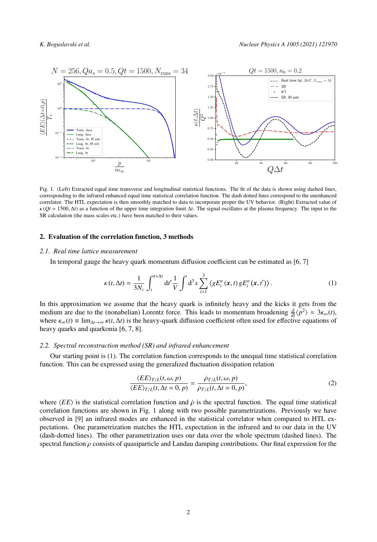

Fig. 1. (Left) Extracted equal time transverse and longitudinal statistical functions. The fit of the data is shown using dashed lines, corresponding to the infrared enhanced equal time statistical correlation function. The dash dotted lines correspond to the unenhanced correlator. The HTL expectation is then smoothly matched to data to incorporate proper the UV behavior. (Right) Extracted value of  $\kappa$  ( $Qt$  = 1500,  $\Delta t$ ) as a function of the upper time integration limit  $\Delta t$ . The signal oscillates at the plasma frequency. The input to the SR calculation (the mass scales etc.) have been matched to their values.

### 2. Evaluation of the correlation function, 3 methods

### *2.1. Real time lattice measurement*

In temporal gauge the heavy quark momentum diffusion coefficient can be estimated as [6, 7]

$$
\kappa(t,\Delta t) = \frac{1}{3N_c} \int_t^{t+\Delta t} dt' \frac{1}{V} \int d^3x \sum_{i=1}^3 \langle gE_i^a(\mathbf{x},t) gE_i^a(\mathbf{x},t') \rangle.
$$
 (1)

In this approximation we assume that the heavy quark is infinitely heavy and the kicks it gets from the medium are due to the (nonabelian) Lorentz force. This leads to momentum broadening  $\frac{d}{dt}\langle p^2 \rangle = 3\kappa_\infty(t)$ , where  $\kappa_{\infty}(t) \equiv \lim_{\Delta t \to \infty} \kappa(t, \Delta t)$  is the heavy-quark diffusion coefficient often used for effective equations of heavy quarks and quarkonia [6, 7, 8].

### *2.2. Spectral reconstruction method (SR) and infrared enhancement*

Our starting point is (1). The correlation function corresponds to the unequal time statistical correlation function. This can be expressed using the generalized fluctuation dissipation relation

$$
\frac{\langle EE\rangle_{T/L}(t,\omega,p)}{\langle EE\rangle_{T/L}(t,\Delta t=0,p)} = \frac{\dot{\rho}_{T/L}(t,\omega,p)}{\dot{\rho}_{T/L}(t,\Delta t=0,p)},\tag{2}
$$

where  $\langle EE \rangle$  is the statistical correlation function and  $\dot{\rho}$  is the spectral function. The equal time statistical correlation functions are shown in Fig. 1 along with two possible parametrizations. Previously we have observed in [9] an infrared modes are enhanced in the statistical correlator when compared to HTL expectations. One parametrization matches the HTL expectation in the infrared and to our data in the UV (dash-dotted lines). The other parametrization uses our data over the whole spectrum (dashed lines). The spectral function  $\rho$  consists of quasiparticle and Landau damping contributions. Our final expression for the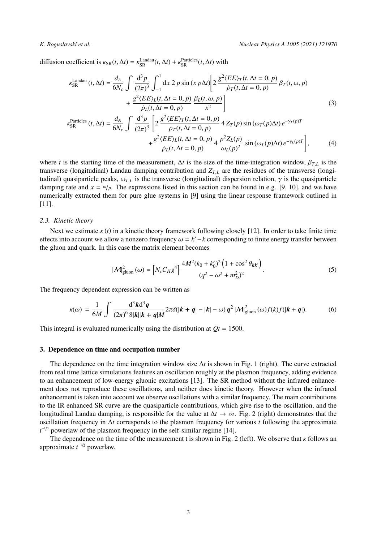diffusion coefficient is  $\kappa_{SR}(t, \Delta t) = \kappa_{SR}^{\text{Landau}}(t, \Delta t) + \kappa_{SR}^{\text{Particles}}(t, \Delta t)$  with

$$
\kappa_{SR}^{\text{Landau}}(t,\Delta t) = \frac{d_A}{6N_c} \int \frac{d^3 p}{(2\pi)^3} \int_{-1}^1 dx \, 2 \, p \sin(x \, p\Delta t) \Bigg[ 2 \, \frac{g^2 \langle EE \rangle_T(t,\Delta t = 0, p)}{\dot{\rho}_T(t,\Delta t = 0, p)} \, \beta_T(t,\omega, p) \Bigg] + \frac{g^2 \langle EE \rangle_L(t,\Delta t = 0, p)}{\dot{\rho}_L(t,\Delta t = 0, p)} \frac{\beta_L(t,\omega, p)}{x^2} \Bigg]
$$
\n
$$
\kappa_{SR}^{\text{Particles}}(t,\Delta t) = \frac{d_A}{6N_c} \int \frac{d^3 p}{(2\pi)^3} \left[ 2 \, \frac{g^2 \langle EE \rangle_T(t,\Delta t = 0, p)}{\dot{\rho}_T(t,\Delta t = 0, p)} \, 4 \, Z_T(p) \sin(\omega_T(p)\Delta t) \, e^{-\gamma_T(p)T} \right]
$$
\n
$$
g^2 \langle EE \rangle_L(t,\Delta t = 0, p) \Bigg], \quad p^2 Z_L(p) \Bigg], \quad (4)
$$

+ $\frac{g^2 \langle EE \rangle_L(t, \Delta t = 0, p)}{\dot{\rho}_L(t, \Delta t = 0, p)}$  4  $\frac{p^2 Z_L(p)}{\omega_L(p)^2}$  sin  $(\omega_L(p)\Delta t) e^{-\gamma_L(p)T}$  $(4)$ 

where *t* is the starting time of the measurement,  $\Delta t$  is the size of the time-integration window,  $\beta_{TL}$  is the transverse (longitudinal) Landau damping contribution and  $Z_{TL}$  are the residues of the transverse (longitudinal) quasiparticle peaks,  $ω<sub>T</sub>$ *L* is the transverse (longitudinal) dispersion relation,  $γ$  is the quasiparticle damping rate and  $x = \omega/p$ . The expressions listed in this section can be found in e.g. [9, 10], and we have numerically extracted them for pure glue systems in [9] using the linear response framework outlined in [11].

### *2.3. Kinetic theory*

Next we estimate  $\kappa(t)$  in a kinetic theory framework following closely [12]. In order to take finite time effects into account we allow a nonzero frequency  $\omega = k' - k$  corresponding to finite energy transfer between the gluon and quark. In this case the matrix element becomes

$$
|\mathcal{M}|_{\text{gluon}}^2(\omega) = \left[ N_c C_H g^4 \right] \frac{4M^2 (k_0 + k_0')^2 \left( 1 + \cos^2 \theta_{k k'} \right)}{(q^2 - \omega^2 + m_D^2)^2}.
$$
 (5)

The frequency dependent expression can be written as

$$
\kappa(\omega) = \frac{1}{6M} \int \frac{\mathrm{d}^3 k \mathrm{d}^3 q}{(2\pi)^6 \, 8|k||k+q|M} 2\pi \delta(|k+q|-|k|-\omega) q^2 |\mathcal{M}|^2_{\text{gluon}}(\omega) f(k) f(|k+q|). \tag{6}
$$

This integral is evaluated numerically using the distribution at  $Qt = 1500$ .

### 3. Dependence on time and occupation number

The dependence on the time integration window size  $\Delta t$  is shown in Fig. 1 (right). The curve extracted from real time lattice simulations features an oscillation roughly at the plasmon frequency, adding evidence to an enhancement of low-energy gluonic excitations [13]. The SR method without the infrared enhancement does not reproduce these oscillations, and neither does kinetic theory. However when the infrared enhancement is taken into account we observe oscillations with a similar frequency. The main contributions to the IR enhanced SR curve are the quasiparticle contributions, which give rise to the oscillation, and the longitudinal Landau damping, is responsible for the value at  $\Delta t \rightarrow \infty$ . Fig. 2 (right) demonstrates that the oscillation frequency in Δ*t* corresponds to the plasmon frequency for various *t* following the approximate  $t^{-1/7}$  powerlaw of the plasmon frequency in the self-similar regime [14].

The dependence on the time of the measurement t is shown in Fig. 2 (left). We observe that  $\kappa$  follows an approximate  $t^{-1/2}$  powerlaw.